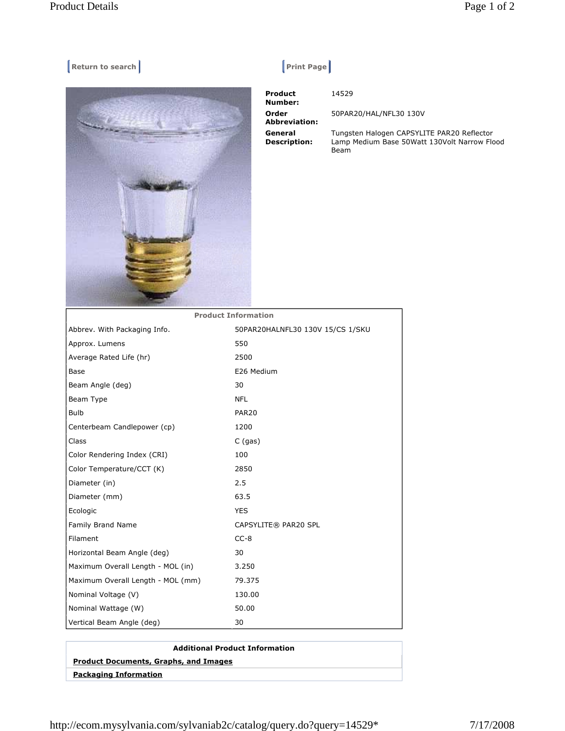## **Return to search Return Construction Construction Construction Print Page |**



 **Product Number: Order Abbreviation: General Description:** 

14529

50PAR20/HAL/NFL30 130V

Tungsten Halogen CAPSYLITE PAR20 Reflector Lamp Medium Base 50Watt 130Volt Narrow Flood Beam

| FIUUULL IIIIUI IIIALIUII         |
|----------------------------------|
| 50PAR20HALNFL30 130V 15/CS 1/SKU |
| 550                              |
| 2500                             |
| E26 Medium                       |
| 30                               |
| <b>NFL</b>                       |
| PAR <sub>20</sub>                |
| 1200                             |
| $C$ (gas)                        |
| 100                              |
| 2850                             |
| 2.5                              |
| 63.5                             |
| <b>YES</b>                       |
| CAPSYLITE® PAR20 SPL             |
| $CC-8$                           |
| 30                               |
| 3.250                            |
| 79.375                           |
| 130.00                           |
| 50.00                            |
| 30                               |
|                                  |

| <b>Additional Product Information</b>        |
|----------------------------------------------|
| <b>Product Documents, Graphs, and Images</b> |
| <b>Packaging Information</b>                 |